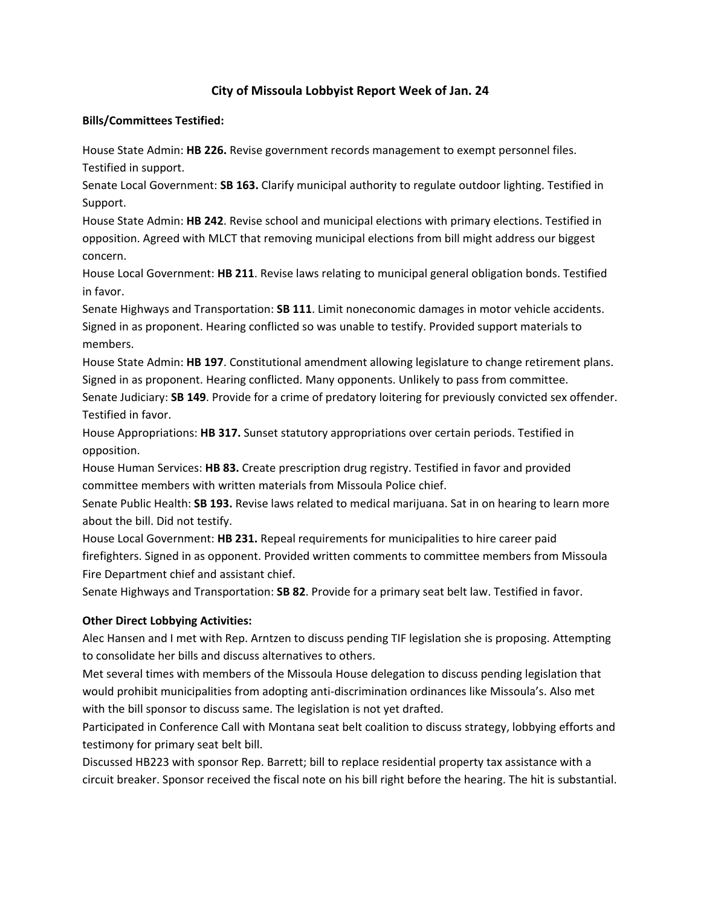## **City of Missoula Lobbyist Report Week of Jan. 24**

## **Bills/Committees Testified:**

House State Admin: **HB 226.** Revise government records management to exempt personnel files. Testified in support.

Senate Local Government: **SB 163.** Clarify municipal authority to regulate outdoor lighting. Testified in Support.

House State Admin: **HB 242**. Revise school and municipal elections with primary elections. Testified in opposition. Agreed with MLCT that removing municipal elections from bill might address our biggest concern.

House Local Government: **HB 211**. Revise laws relating to municipal general obligation bonds. Testified in favor.

Senate Highways and Transportation: **SB 111**. Limit noneconomic damages in motor vehicle accidents. Signed in as proponent. Hearing conflicted so was unable to testify. Provided support materials to members.

House State Admin: **HB 197**. Constitutional amendment allowing legislature to change retirement plans. Signed in as proponent. Hearing conflicted. Many opponents. Unlikely to pass from committee.

Senate Judiciary: **SB 149**. Provide for a crime of predatory loitering for previously convicted sex offender. Testified in favor.

House Appropriations: **HB 317.** Sunset statutory appropriations over certain periods. Testified in opposition.

House Human Services: **HB 83.** Create prescription drug registry. Testified in favor and provided committee members with written materials from Missoula Police chief.

Senate Public Health: **SB 193.** Revise laws related to medical marijuana. Sat in on hearing to learn more about the bill. Did not testify.

House Local Government: **HB 231.** Repeal requirements for municipalities to hire career paid firefighters. Signed in as opponent. Provided written comments to committee members from Missoula Fire Department chief and assistant chief.

Senate Highways and Transportation: **SB 82**. Provide for a primary seat belt law. Testified in favor.

## **Other Direct Lobbying Activities:**

Alec Hansen and I met with Rep. Arntzen to discuss pending TIF legislation she is proposing. Attempting to consolidate her bills and discuss alternatives to others.

Met several times with members of the Missoula House delegation to discuss pending legislation that would prohibit municipalities from adopting anti‐discrimination ordinances like Missoula's. Also met with the bill sponsor to discuss same. The legislation is not yet drafted.

Participated in Conference Call with Montana seat belt coalition to discuss strategy, lobbying efforts and testimony for primary seat belt bill.

Discussed HB223 with sponsor Rep. Barrett; bill to replace residential property tax assistance with a circuit breaker. Sponsor received the fiscal note on his bill right before the hearing. The hit is substantial.